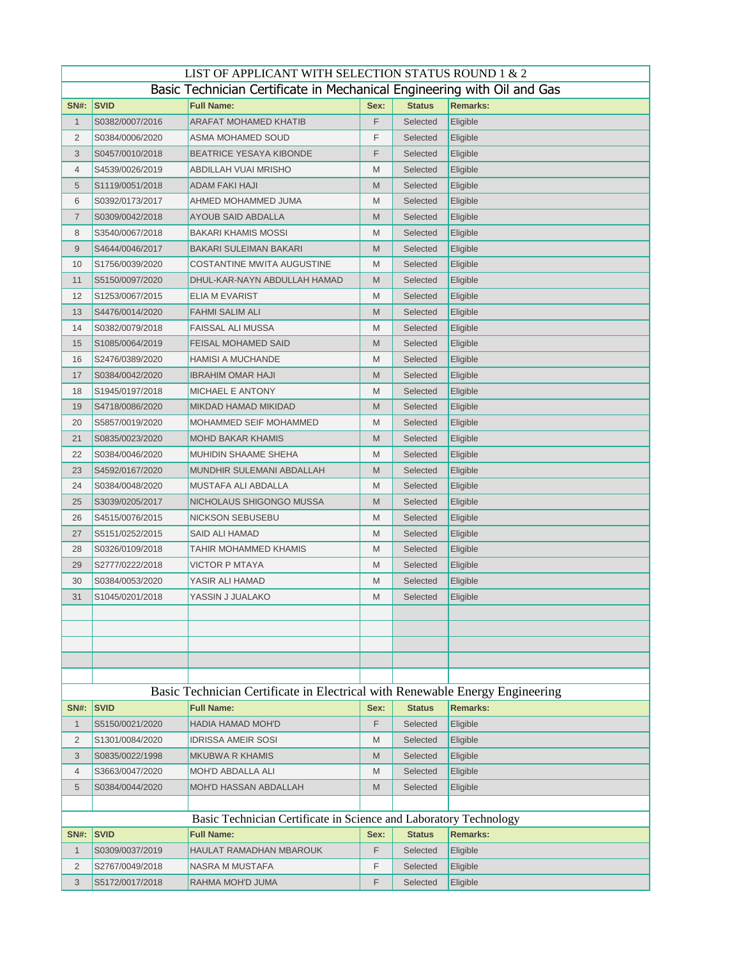| LIST OF APPLICANT WITH SELECTION STATUS ROUND 1 & 2 |                                                                         |                                                                              |      |               |                 |  |  |  |
|-----------------------------------------------------|-------------------------------------------------------------------------|------------------------------------------------------------------------------|------|---------------|-----------------|--|--|--|
|                                                     | Basic Technician Certificate in Mechanical Engineering with Oil and Gas |                                                                              |      |               |                 |  |  |  |
| <b>SN#:</b>                                         | <b>SVID</b>                                                             | <b>Full Name:</b>                                                            | Sex: | <b>Status</b> | <b>Remarks:</b> |  |  |  |
| 1                                                   | S0382/0007/2016                                                         | <b>ARAFAT MOHAMED KHATIB</b>                                                 | F    | Selected      | Eligible        |  |  |  |
| 2                                                   | S0384/0006/2020                                                         | ASMA MOHAMED SOUD                                                            | F    | Selected      | Eligible        |  |  |  |
| 3                                                   | S0457/0010/2018                                                         | <b>BEATRICE YESAYA KIBONDE</b>                                               | F    | Selected      | Eligible        |  |  |  |
| 4                                                   | S4539/0026/2019                                                         | ABDILLAH VUAI MRISHO                                                         | M    | Selected      | Eligible        |  |  |  |
| 5                                                   | S1119/0051/2018                                                         | ADAM FAKI HAJI                                                               | M    | Selected      | Eligible        |  |  |  |
| 6                                                   | S0392/0173/2017                                                         | AHMED MOHAMMED JUMA                                                          | M    | Selected      | Eligible        |  |  |  |
| $\overline{7}$                                      | S0309/0042/2018                                                         | AYOUB SAID ABDALLA                                                           | M    | Selected      | Eligible        |  |  |  |
| 8                                                   | S3540/0067/2018                                                         | BAKARI KHAMIS MOSSI                                                          | M    | Selected      | Eligible        |  |  |  |
| 9                                                   | S4644/0046/2017                                                         | BAKARI SULEIMAN BAKARI                                                       | M    | Selected      | Eligible        |  |  |  |
| 10                                                  | S1756/0039/2020                                                         | COSTANTINE MWITA AUGUSTINE                                                   | M    | Selected      | Eligible        |  |  |  |
| 11                                                  | S5150/0097/2020                                                         | DHUL-KAR-NAYN ABDULLAH HAMAD                                                 | M    | Selected      | Eligible        |  |  |  |
| 12                                                  | S1253/0067/2015                                                         | ELIA M EVARIST                                                               | M    | Selected      | Eligible        |  |  |  |
| 13                                                  | S4476/0014/2020                                                         | FAHMI SALIM ALI                                                              | M    | Selected      | Eligible        |  |  |  |
| 14                                                  | S0382/0079/2018                                                         | FAISSAL ALI MUSSA                                                            | M    | Selected      | Eligible        |  |  |  |
| 15                                                  | S1085/0064/2019                                                         | FEISAL MOHAMED SAID                                                          | M    | Selected      | Eligible        |  |  |  |
| 16                                                  | S2476/0389/2020                                                         | <b>HAMISI A MUCHANDE</b>                                                     | M    | Selected      | Eligible        |  |  |  |
| 17                                                  | S0384/0042/2020                                                         | <b>IBRAHIM OMAR HAJI</b>                                                     | M    | Selected      | Eligible        |  |  |  |
| 18                                                  | S1945/0197/2018                                                         | MICHAEL E ANTONY                                                             | M    | Selected      | Eligible        |  |  |  |
| 19                                                  | S4718/0086/2020                                                         | MIKDAD HAMAD MIKIDAD                                                         | M    | Selected      | Eligible        |  |  |  |
| 20                                                  | S5857/0019/2020                                                         | MOHAMMED SEIF MOHAMMED                                                       | M    | Selected      | Eligible        |  |  |  |
| 21                                                  | S0835/0023/2020                                                         | <b>MOHD BAKAR KHAMIS</b>                                                     | M    | Selected      | Eligible        |  |  |  |
| 22                                                  | S0384/0046/2020                                                         | MUHIDIN SHAAME SHEHA                                                         | M    | Selected      | Eligible        |  |  |  |
| 23                                                  | S4592/0167/2020                                                         | MUNDHIR SULEMANI ABDALLAH                                                    | M    | Selected      | Eligible        |  |  |  |
| 24                                                  | S0384/0048/2020                                                         | MUSTAFA ALI ABDALLA                                                          | M    | Selected      | Eligible        |  |  |  |
| 25                                                  | S3039/0205/2017                                                         | NICHOLAUS SHIGONGO MUSSA                                                     | M    | Selected      | Eligible        |  |  |  |
| 26                                                  | S4515/0076/2015                                                         | NICKSON SEBUSEBU                                                             | M    | Selected      | Eligible        |  |  |  |
| 27                                                  | S5151/0252/2015                                                         | SAID ALI HAMAD                                                               | M    | Selected      | Eligible        |  |  |  |
| 28                                                  | S0326/0109/2018                                                         | TAHIR MOHAMMED KHAMIS                                                        | M    | Selected      | Eligible        |  |  |  |
| 29                                                  | S2777/0222/2018                                                         | VICTOR P MTAYA                                                               | M    | Selected      | Eligible        |  |  |  |
| 30                                                  | S0384/0053/2020                                                         | YASIR ALI HAMAD                                                              | M    | Selected      | Eligible        |  |  |  |
| 31                                                  | S1045/0201/2018                                                         | YASSIN J JUALAKO                                                             | M    | Selected      | Eligible        |  |  |  |
|                                                     |                                                                         |                                                                              |      |               |                 |  |  |  |
|                                                     |                                                                         |                                                                              |      |               |                 |  |  |  |
|                                                     |                                                                         |                                                                              |      |               |                 |  |  |  |
|                                                     |                                                                         |                                                                              |      |               |                 |  |  |  |
|                                                     |                                                                         |                                                                              |      |               |                 |  |  |  |
|                                                     |                                                                         | Basic Technician Certificate in Electrical with Renewable Energy Engineering |      |               |                 |  |  |  |
| <b>SN#:</b>                                         | <b>SVID</b>                                                             | <b>Full Name:</b>                                                            | Sex: | <b>Status</b> | <b>Remarks:</b> |  |  |  |
| $\mathbf{1}$                                        | S5150/0021/2020                                                         | <b>HADIA HAMAD MOH'D</b>                                                     | F    | Selected      | Eligible        |  |  |  |
| 2                                                   | S1301/0084/2020                                                         | <b>IDRISSA AMEIR SOSI</b>                                                    | M    | Selected      | Eligible        |  |  |  |
| 3                                                   | S0835/0022/1998                                                         | <b>MKUBWA R KHAMIS</b>                                                       | M    | Selected      | Eligible        |  |  |  |
| 4                                                   | S3663/0047/2020                                                         | <b>MOH'D ABDALLA ALI</b>                                                     | M    | Selected      | Eligible        |  |  |  |
| 5                                                   | S0384/0044/2020                                                         | <b>MOH'D HASSAN ABDALLAH</b>                                                 | M    | Selected      | Eligible        |  |  |  |
|                                                     |                                                                         |                                                                              |      |               |                 |  |  |  |
|                                                     | Basic Technician Certificate in Science and Laboratory Technology       |                                                                              |      |               |                 |  |  |  |
| <b>SN#:</b>                                         | <b>SVID</b>                                                             | <b>Full Name:</b>                                                            | Sex: | <b>Status</b> | <b>Remarks:</b> |  |  |  |
| $\mathbf{1}$                                        | S0309/0037/2019                                                         | HAULAT RAMADHAN MBAROUK                                                      | F    | Selected      | Eligible        |  |  |  |
| 2                                                   | S2767/0049/2018                                                         | NASRA M MUSTAFA                                                              | F    | Selected      | Eligible        |  |  |  |
| 3                                                   | S5172/0017/2018                                                         | RAHMA MOH'D JUMA                                                             | F    | Selected      | Eligible        |  |  |  |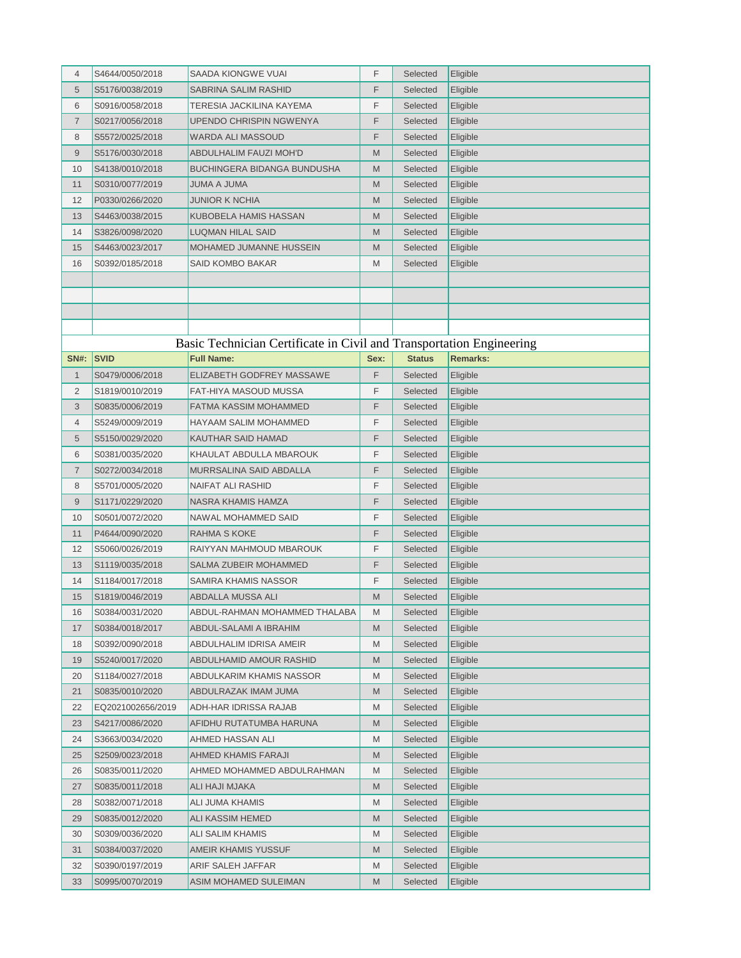| $\overline{4}$ | S4644/0050/2018   | SAADA KIONGWE VUAI                                                   | F    | Selected      | Eligible        |
|----------------|-------------------|----------------------------------------------------------------------|------|---------------|-----------------|
| 5              | S5176/0038/2019   | SABRINA SALIM RASHID                                                 | F    | Selected      | Eligible        |
| 6              | S0916/0058/2018   | TERESIA JACKILINA KAYEMA                                             | F    | Selected      | Eligible        |
| 7              | S0217/0056/2018   | UPENDO CHRISPIN NGWENYA                                              | F    | Selected      | Eligible        |
| 8              | S5572/0025/2018   | WARDA ALI MASSOUD                                                    | F    | Selected      | Eligible        |
| 9              | S5176/0030/2018   | ABDULHALIM FAUZI MOH'D                                               | M    | Selected      | Eligible        |
| 10             | S4138/0010/2018   | BUCHINGERA BIDANGA BUNDUSHA                                          | M    | Selected      | Eligible        |
| 11             | S0310/0077/2019   | JUMA A JUMA                                                          | M    | Selected      | Eligible        |
| 12             | P0330/0266/2020   | JUNIOR K NCHIA                                                       | M    | Selected      | Eligible        |
| 13             | S4463/0038/2015   | KUBOBELA HAMIS HASSAN                                                | M    | Selected      | Eligible        |
| 14             | S3826/0098/2020   | LUQMAN HILAL SAID                                                    | M    | Selected      | Eligible        |
| 15             | S4463/0023/2017   | <b>MOHAMED JUMANNE HUSSEIN</b>                                       | M    | Selected      | Eligible        |
| 16             | S0392/0185/2018   | SAID KOMBO BAKAR                                                     | M    | Selected      | Eligible        |
|                |                   |                                                                      |      |               |                 |
|                |                   |                                                                      |      |               |                 |
|                |                   |                                                                      |      |               |                 |
|                |                   |                                                                      |      |               |                 |
|                |                   | Basic Technician Certificate in Civil and Transportation Engineering |      |               |                 |
| <b>SN#:</b>    | <b>SVID</b>       | <b>Full Name:</b>                                                    | Sex: | <b>Status</b> | <b>Remarks:</b> |
| $\mathbf{1}$   | S0479/0006/2018   | ELIZABETH GODFREY MASSAWE                                            | F    | Selected      | Eligible        |
| 2              | S1819/0010/2019   | FAT-HIYA MASOUD MUSSA                                                | F    | Selected      | Eligible        |
| 3              | S0835/0006/2019   | FATMA KASSIM MOHAMMED                                                | F    | Selected      | Eligible        |
| 4              | S5249/0009/2019   | HAYAAM SALIM MOHAMMED                                                | F    | Selected      | Eligible        |
| 5              | S5150/0029/2020   | KAUTHAR SAID HAMAD                                                   | F    | Selected      | Eligible        |
| 6              | S0381/0035/2020   | KHAULAT ABDULLA MBAROUK                                              | F    | Selected      | Eligible        |
| 7              | S0272/0034/2018   | MURRSALINA SAID ABDALLA                                              | F    | Selected      | Eligible        |
| 8              | S5701/0005/2020   | NAIFAT ALI RASHID                                                    | F    | Selected      | Eligible        |
| 9              | S1171/0229/2020   | NASRA KHAMIS HAMZA                                                   | F    | Selected      | Eligible        |
| 10             | S0501/0072/2020   | NAWAL MOHAMMED SAID                                                  | F    | Selected      | Eligible        |
| 11             | P4644/0090/2020   | RAHMA S KOKE                                                         | F    | Selected      | Eligible        |
| 12             | S5060/0026/2019   | RAIYYAN MAHMOUD MBAROUK                                              | F    | Selected      | Eligible        |
| 13             | S1119/0035/2018   | SALMA ZUBEIR MOHAMMED                                                | F    | Selected      | Eligible        |
| 14             | S1184/0017/2018   | SAMIRA KHAMIS NASSOR                                                 | F    | Selected      | Eligible        |
| 15             | S1819/0046/2019   | ABDALLA MUSSA ALI                                                    | M    | Selected      | Eligible        |
| 16             | S0384/0031/2020   | ABDUL-RAHMAN MOHAMMED THALABA                                        | M    | Selected      | Eligible        |
| 17             | S0384/0018/2017   | ABDUL-SALAMI A IBRAHIM                                               | M    | Selected      | Eligible        |
| 18             | S0392/0090/2018   | ABDULHALIM IDRISA AMEIR                                              | M    | Selected      | Eligible        |
| 19             | S5240/0017/2020   | ABDULHAMID AMOUR RASHID                                              | M    | Selected      | Eligible        |
| 20             | S1184/0027/2018   | ABDULKARIM KHAMIS NASSOR                                             | M    | Selected      | Eligible        |
| 21             | S0835/0010/2020   | ABDULRAZAK IMAM JUMA                                                 | M    | Selected      | Eligible        |
| 22             | EQ2021002656/2019 | ADH-HAR IDRISSA RAJAB                                                | M    | Selected      | Eligible        |
| 23             | S4217/0086/2020   | AFIDHU RUTATUMBA HARUNA                                              | M    | Selected      | Eligible        |
| 24             | S3663/0034/2020   | AHMED HASSAN ALI                                                     | M    | Selected      | Eligible        |
| 25             | S2509/0023/2018   | AHMED KHAMIS FARAJI                                                  | M    | Selected      | Eligible        |
| 26             | S0835/0011/2020   | AHMED MOHAMMED ABDULRAHMAN                                           | M    | Selected      | Eligible        |
| 27             | S0835/0011/2018   | ALI HAJI MJAKA                                                       | M    | Selected      | Eligible        |
| 28             | S0382/0071/2018   | ALI JUMA KHAMIS                                                      | M    | Selected      | Eligible        |
| 29             | S0835/0012/2020   | ALI KASSIM HEMED                                                     | M    | Selected      | Eligible        |
| 30             | S0309/0036/2020   | ALI SALIM KHAMIS                                                     | M    | Selected      | Eligible        |
| 31             | S0384/0037/2020   | AMEIR KHAMIS YUSSUF                                                  | M    | Selected      | Eligible        |
| 32             | S0390/0197/2019   | ARIF SALEH JAFFAR                                                    | M    | Selected      | Eligible        |
| 33             | S0995/0070/2019   | ASIM MOHAMED SULEIMAN                                                | M    | Selected      | Eligible        |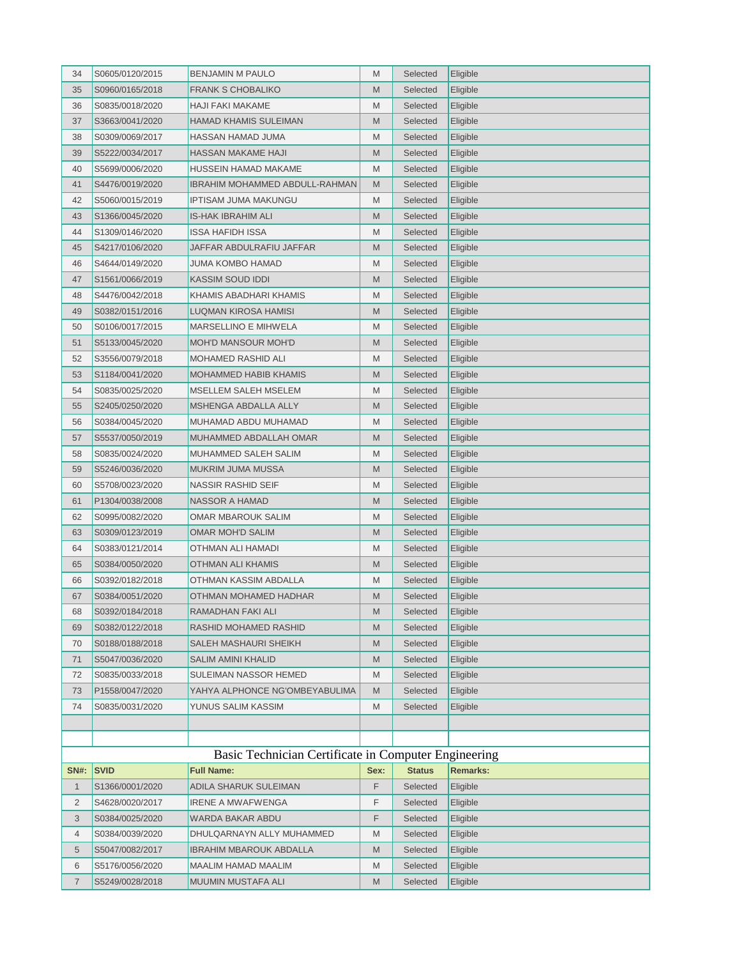| 34          | S0605/0120/2015 | <b>BENJAMIN M PAULO</b>                              | M    | Selected      | Eligible        |
|-------------|-----------------|------------------------------------------------------|------|---------------|-----------------|
| 35          | S0960/0165/2018 | <b>FRANK S CHOBALIKO</b>                             | M    | Selected      | Eligible        |
| 36          | S0835/0018/2020 | HAJI FAKI MAKAME                                     | M    | Selected      | Eligible        |
| 37          | S3663/0041/2020 | <b>HAMAD KHAMIS SULEIMAN</b>                         | M    | Selected      | Eligible        |
| 38          | S0309/0069/2017 | HASSAN HAMAD JUMA                                    | M    | Selected      | Eligible        |
| 39          | S5222/0034/2017 | HASSAN MAKAME HAJI                                   | M    | Selected      | Eligible        |
| 40          | S5699/0006/2020 | HUSSEIN HAMAD MAKAME                                 | M    | Selected      | Eligible        |
| 41          | S4476/0019/2020 | <b>IBRAHIM MOHAMMED ABDULL-RAHMAN</b>                | M    | Selected      | Eligible        |
| 42          | S5060/0015/2019 | <b>IPTISAM JUMA MAKUNGU</b>                          | M    | Selected      | Eligible        |
| 43          | S1366/0045/2020 | IS-HAK IBRAHIM ALI                                   | M    | Selected      | Eligible        |
| 44          | S1309/0146/2020 | ISSA HAFIDH ISSA                                     | M    | Selected      | Eligible        |
| 45          | S4217/0106/2020 | JAFFAR ABDULRAFIU JAFFAR                             | M    | Selected      | Eligible        |
| 46          | S4644/0149/2020 | JUMA KOMBO HAMAD                                     | M    | Selected      | Eligible        |
| 47          | S1561/0066/2019 | <b>KASSIM SOUD IDDI</b>                              | M    | Selected      | Eligible        |
| 48          | S4476/0042/2018 | KHAMIS ABADHARI KHAMIS                               | M    | Selected      | Eligible        |
| 49          | S0382/0151/2016 | LUQMAN KIROSA HAMISI                                 | M    | Selected      | Eligible        |
| 50          | S0106/0017/2015 | MARSELLINO E MIHWELA                                 | M    | Selected      | Eligible        |
| 51          | S5133/0045/2020 | <b>MOH'D MANSOUR MOH'D</b>                           | M    | Selected      | Eligible        |
| 52          | S3556/0079/2018 | <b>MOHAMED RASHID ALI</b>                            | M    | Selected      | Eligible        |
| 53          | S1184/0041/2020 | <b>MOHAMMED HABIB KHAMIS</b>                         | M    | Selected      | Eligible        |
| 54          | S0835/0025/2020 | MSELLEM SALEH MSELEM                                 | M    | Selected      | Eligible        |
| 55          | S2405/0250/2020 | MSHENGA ABDALLA ALLY                                 | M    | Selected      | Eligible        |
| 56          | S0384/0045/2020 | MUHAMAD ABDU MUHAMAD                                 | M    | Selected      | Eligible        |
| 57          | S5537/0050/2019 | MUHAMMED ABDALLAH OMAR                               | M    | Selected      | Eligible        |
| 58          | S0835/0024/2020 | MUHAMMED SALEH SALIM                                 | M    | Selected      | Eligible        |
| 59          | S5246/0036/2020 | MUKRIM JUMA MUSSA                                    | M    | Selected      | Eligible        |
| 60          | S5708/0023/2020 | NASSIR RASHID SEIF                                   | M    | Selected      | Eligible        |
| 61          | P1304/0038/2008 | NASSOR A HAMAD                                       | M    | Selected      | Eligible        |
| 62          | S0995/0082/2020 | OMAR MBAROUK SALIM                                   | M    | Selected      | Eligible        |
| 63          | S0309/0123/2019 | <b>OMAR MOH'D SALIM</b>                              | M    | Selected      | Eligible        |
| 64          | S0383/0121/2014 | OTHMAN ALI HAMADI                                    | M    | Selected      | Eligible        |
| 65          | S0384/0050/2020 | OTHMAN ALI KHAMIS                                    | M    | Selected      | Eligible        |
| 66          | S0392/0182/2018 | OTHMAN KASSIM ABDALLA                                | M    | Selected      | Eligible        |
| 67          | S0384/0051/2020 | OTHMAN MOHAMED HADHAR                                | M    | Selected      | Eligible        |
| 68          | S0392/0184/2018 | RAMADHAN FAKI ALI                                    | M    | Selected      | Eligible        |
| 69          | S0382/0122/2018 | RASHID MOHAMED RASHID                                | M    | Selected      | Eligible        |
| 70          | S0188/0188/2018 | SALEH MASHAURI SHEIKH                                | M    | Selected      | Eligible        |
| 71          | S5047/0036/2020 | SALIM AMINI KHALID                                   | M    | Selected      | Eligible        |
| 72          | S0835/0033/2018 | SULEIMAN NASSOR HEMED                                | M    | Selected      | Eligible        |
| 73          | P1558/0047/2020 | YAHYA ALPHONCE NG'OMBEYABULIMA                       | M    | Selected      | Eligible        |
| 74          | S0835/0031/2020 | YUNUS SALIM KASSIM                                   | M    | Selected      | Eligible        |
|             |                 |                                                      |      |               |                 |
|             |                 |                                                      |      |               |                 |
|             |                 | Basic Technician Certificate in Computer Engineering |      |               |                 |
| <b>SN#:</b> | <b>SVID</b>     | <b>Full Name:</b>                                    | Sex: | <b>Status</b> | <b>Remarks:</b> |
| 1           | S1366/0001/2020 | ADILA SHARUK SULEIMAN                                | F    | Selected      | Eligible        |
| 2           | S4628/0020/2017 | <b>IRENE A MWAFWENGA</b>                             | F    | Selected      | Eligible        |
| 3           | S0384/0025/2020 | WARDA BAKAR ABDU                                     | F    | Selected      | Eligible        |
| 4           | S0384/0039/2020 | DHULQARNAYN ALLY MUHAMMED                            | M    | Selected      | Eligible        |
| 5           | S5047/0082/2017 | IBRAHIM MBAROUK ABDALLA                              | M    | Selected      | Eligible        |
| 6           | S5176/0056/2020 | MAALIM HAMAD MAALIM                                  | M    | Selected      | Eligible        |
| 7           | S5249/0028/2018 | MUUMIN MUSTAFA ALI                                   | M    | Selected      | Eligible        |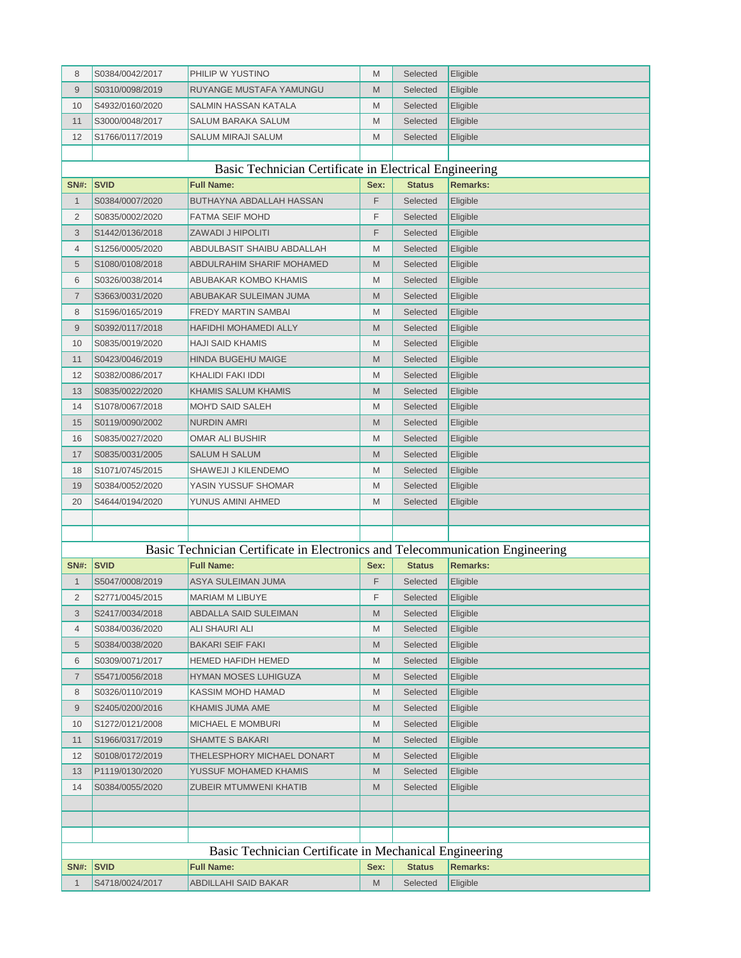| 8              | S0384/0042/2017 | PHILIP W YUSTINO                                                              | M    | Selected      | Eligible        |
|----------------|-----------------|-------------------------------------------------------------------------------|------|---------------|-----------------|
| 9              | S0310/0098/2019 | RUYANGE MUSTAFA YAMUNGU                                                       | M    | Selected      | Eligible        |
| 10             | S4932/0160/2020 | SALMIN HASSAN KATALA                                                          | M    | Selected      | Eligible        |
| 11             | S3000/0048/2017 | SALUM BARAKA SALUM                                                            | M    | Selected      | Eligible        |
| 12             | S1766/0117/2019 | SALUM MIRAJI SALUM                                                            | M    | Selected      | Eligible        |
|                |                 |                                                                               |      |               |                 |
|                |                 | Basic Technician Certificate in Electrical Engineering                        |      |               |                 |
| <b>SN#:</b>    | <b>SVID</b>     | <b>Full Name:</b>                                                             | Sex: | <b>Status</b> | <b>Remarks:</b> |
| $\mathbf{1}$   | S0384/0007/2020 | BUTHAYNA ABDALLAH HASSAN                                                      | F    | Selected      | Eligible        |
| $\overline{2}$ | S0835/0002/2020 | FATMA SEIF MOHD                                                               | F    | Selected      | Eligible        |
| 3              | S1442/0136/2018 | ZAWADI J HIPOLITI                                                             | F    | Selected      | Eligible        |
| 4              | S1256/0005/2020 | ABDULBASIT SHAIBU ABDALLAH                                                    | M    | Selected      | Eligible        |
| 5              | S1080/0108/2018 | ABDULRAHIM SHARIF MOHAMED                                                     | M    | Selected      | Eligible        |
| 6              | S0326/0038/2014 | ABUBAKAR KOMBO KHAMIS                                                         | M    | Selected      | Eligible        |
| $\overline{7}$ | S3663/0031/2020 | ABUBAKAR SULEIMAN JUMA                                                        | M    | Selected      | Eligible        |
| 8              | S1596/0165/2019 | FREDY MARTIN SAMBAI                                                           | M    | Selected      | Eligible        |
| 9              | S0392/0117/2018 | HAFIDHI MOHAMEDI ALLY                                                         | M    | Selected      | Eligible        |
| 10             | S0835/0019/2020 | HAJI SAID KHAMIS                                                              | M    | Selected      | Eligible        |
| 11             | S0423/0046/2019 | <b>HINDA BUGEHU MAIGE</b>                                                     | M    | Selected      | Eligible        |
| 12             | S0382/0086/2017 | KHALIDI FAKI IDDI                                                             | M    | Selected      | Eligible        |
| 13             | S0835/0022/2020 | KHAMIS SALUM KHAMIS                                                           | M    | Selected      | Eligible        |
| 14             | S1078/0067/2018 | MOH'D SAID SALEH                                                              | M    | Selected      | Eligible        |
| 15             | S0119/0090/2002 | NURDIN AMRI                                                                   | M    | Selected      | Eligible        |
| 16             | S0835/0027/2020 | OMAR ALI BUSHIR                                                               | M    | Selected      | Eligible        |
| 17             | S0835/0031/2005 | SALUM H SALUM                                                                 | M    | Selected      | Eligible        |
| 18             | S1071/0745/2015 | SHAWEJI J KILENDEMO                                                           | M    | Selected      | Eligible        |
| 19             | S0384/0052/2020 | YASIN YUSSUF SHOMAR                                                           | M    | Selected      | Eligible        |
| 20             | S4644/0194/2020 | YUNUS AMINI AHMED                                                             | M    | Selected      | Eligible        |
|                |                 |                                                                               |      |               |                 |
|                |                 |                                                                               |      |               |                 |
|                |                 | Basic Technician Certificate in Electronics and Telecommunication Engineering |      |               |                 |
| <b>SN#:</b>    | <b>SVID</b>     | <b>Full Name:</b>                                                             | Sex: | <b>Status</b> | <b>Remarks:</b> |
| 1              | S5047/0008/2019 | ASYA SULEIMAN JUMA                                                            | F    | Selected      | Eligible        |
| $\overline{2}$ | S2771/0045/2015 | MARIAM M LIBUYE                                                               | F    | Selected      | Eligible        |
| 3              | S2417/0034/2018 | ABDALLA SAID SULEIMAN                                                         | M    | Selected      | Eligible        |
| 4              | S0384/0036/2020 | ALI SHAURI ALI                                                                | M    | Selected      | Eligible        |
| 5              | S0384/0038/2020 | <b>BAKARI SEIF FAKI</b>                                                       | M    | Selected      | Eligible        |
| 6              | S0309/0071/2017 | HEMED HAFIDH HEMED                                                            | M    | Selected      | Eligible        |
| $\overline{7}$ | S5471/0056/2018 | HYMAN MOSES LUHIGUZA                                                          | M    | Selected      | Eligible        |
| 8              | S0326/0110/2019 | KASSIM MOHD HAMAD                                                             | M    | Selected      | Eligible        |
| 9              | S2405/0200/2016 | KHAMIS JUMA AME                                                               | M    | Selected      | Eligible        |
| 10             | S1272/0121/2008 | MICHAEL E MOMBURI                                                             | M    | Selected      | Eligible        |
| 11             | S1966/0317/2019 | SHAMTE S BAKARI                                                               | M    | Selected      | Eligible        |
| 12             | S0108/0172/2019 | THELESPHORY MICHAEL DONART                                                    | M    | Selected      | Eligible        |
| 13             | P1119/0130/2020 | YUSSUF MOHAMED KHAMIS                                                         | M    | Selected      | Eligible        |
| 14             | S0384/0055/2020 | ZUBEIR MTUMWENI KHATIB                                                        | M    | Selected      | Eligible        |
|                |                 |                                                                               |      |               |                 |
|                |                 |                                                                               |      |               |                 |
|                |                 |                                                                               |      |               |                 |
|                |                 | Basic Technician Certificate in Mechanical Engineering                        |      |               |                 |
| <b>SN#:</b>    | <b>SVID</b>     | <b>Full Name:</b>                                                             | Sex: | <b>Status</b> | <b>Remarks:</b> |
| 1              | S4718/0024/2017 | ABDILLAHI SAID BAKAR                                                          | M    | Selected      | Eligible        |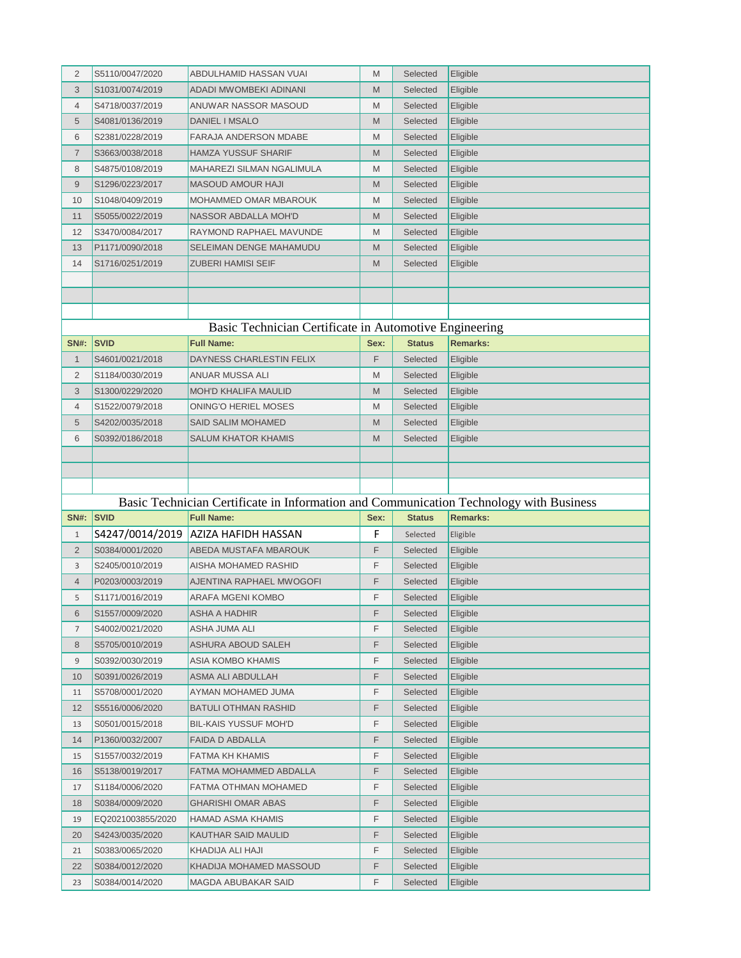| 2            | S5110/0047/2020   | ABDULHAMID HASSAN VUAI                                                                                      | M    | Selected      | Eligible             |
|--------------|-------------------|-------------------------------------------------------------------------------------------------------------|------|---------------|----------------------|
| 3            | S1031/0074/2019   | ADADI MWOMBEKI ADINANI                                                                                      | M    | Selected      | Eligible             |
| 4            | S4718/0037/2019   | ANUWAR NASSOR MASOUD                                                                                        | M    | Selected      | Eligible             |
| 5            | S4081/0136/2019   | DANIEL I MSALO                                                                                              | M    | Selected      | Eligible             |
| 6            | S2381/0228/2019   | <b>FARAJA ANDERSON MDABE</b>                                                                                | M    | Selected      | Eligible             |
| 7            | S3663/0038/2018   | HAMZA YUSSUF SHARIF                                                                                         | M    | Selected      | Eligible             |
| 8            | S4875/0108/2019   | MAHAREZI SILMAN NGALIMULA                                                                                   | M    | Selected      | Eligible             |
| 9            | S1296/0223/2017   | <b>MASOUD AMOUR HAJI</b>                                                                                    | M    | Selected      | Eligible             |
| 10           | S1048/0409/2019   | MOHAMMED OMAR MBAROUK                                                                                       | M    | Selected      | Eligible             |
| 11           | S5055/0022/2019   | <b>NASSOR ABDALLA MOH'D</b>                                                                                 | M    | Selected      | Eligible             |
| 12           | S3470/0084/2017   | RAYMOND RAPHAEL MAVUNDE                                                                                     | M    | Selected      | Eligible             |
| 13           | P1171/0090/2018   | SELEIMAN DENGE MAHAMUDU                                                                                     | M    | Selected      | Eligible             |
| 14           | S1716/0251/2019   | ZUBERI HAMISI SEIF                                                                                          | M    | Selected      | Eligible             |
|              |                   |                                                                                                             |      |               |                      |
|              |                   |                                                                                                             |      |               |                      |
|              |                   |                                                                                                             |      |               |                      |
|              |                   | Basic Technician Certificate in Automotive Engineering                                                      |      |               |                      |
| <b>SN#:</b>  | <b>SVID</b>       | <b>Full Name:</b>                                                                                           | Sex: | <b>Status</b> | <b>Remarks:</b>      |
| $\mathbf{1}$ | S4601/0021/2018   | DAYNESS CHARLESTIN FELIX                                                                                    | F    | Selected      | Eligible             |
| 2            | S1184/0030/2019   | ANUAR MUSSA ALI                                                                                             | M    | Selected      | Eligible             |
| 3            | S1300/0229/2020   | <b>MOH'D KHALIFA MAULID</b>                                                                                 | M    | Selected      | Eligible             |
| 4            | S1522/0079/2018   | ONING'O HERIEL MOSES                                                                                        | M    | Selected      | Eligible             |
| 5            | S4202/0035/2018   | SAID SALIM MOHAMED                                                                                          | M    | Selected      | Eligible             |
| 6            | S0392/0186/2018   | SALUM KHATOR KHAMIS                                                                                         | M    | Selected      | Eligible             |
|              |                   |                                                                                                             |      |               |                      |
|              |                   |                                                                                                             |      |               |                      |
|              |                   |                                                                                                             |      |               |                      |
|              |                   |                                                                                                             |      |               |                      |
|              |                   |                                                                                                             |      |               |                      |
| <b>SN#:</b>  | <b>SVID</b>       | Basic Technician Certificate in Information and Communication Technology with Business<br><b>Full Name:</b> | Sex: | <b>Status</b> | <b>Remarks:</b>      |
| 1            |                   | S4247/0014/2019 AZIZA HAFIDH HASSAN                                                                         | F    | Selected      | Eligible             |
| 2            | S0384/0001/2020   | ABEDA MUSTAFA MBAROUK                                                                                       | F    | Selected      | Eligible             |
| 3            | S2405/0010/2019   | AISHA MOHAMED RASHID                                                                                        | F    | Selected      | Eligible             |
| 4            | P0203/0003/2019   | AJENTINA RAPHAEL MWOGOFI                                                                                    | F    | Selected      |                      |
| 5            | S1171/0016/2019   | ARAFA MGENI KOMBO                                                                                           | F    | Selected      | Eligible<br>Eligible |
| 6            | S1557/0009/2020   | ASHA A HADHIR                                                                                               | F    | Selected      | Eligible             |
| 7            | S4002/0021/2020   | ASHA JUMA ALI                                                                                               | F    | Selected      | Eligible             |
| 8            | S5705/0010/2019   | ASHURA ABOUD SALEH                                                                                          | F    | Selected      | Eligible             |
| 9            | S0392/0030/2019   | ASIA KOMBO KHAMIS                                                                                           | F    | Selected      | Eligible             |
| 10           | S0391/0026/2019   | ASMA ALI ABDULLAH                                                                                           | F    | Selected      | Eligible             |
| 11           | S5708/0001/2020   | AYMAN MOHAMED JUMA                                                                                          | F    | Selected      | Eligible             |
| 12           | S5516/0006/2020   | BATULI OTHMAN RASHID                                                                                        | F    | Selected      | Eligible             |
| 13           | S0501/0015/2018   | <b>BIL-KAIS YUSSUF MOH'D</b>                                                                                | F    | Selected      | Eligible             |
| 14           | P1360/0032/2007   | FAIDA D ABDALLA                                                                                             | F    | Selected      | Eligible             |
| 15           | S1557/0032/2019   | FATMA KH KHAMIS                                                                                             | F    | Selected      | Eligible             |
| 16           | S5138/0019/2017   | FATMA MOHAMMED ABDALLA                                                                                      | F    | Selected      | Eligible             |
| 17           | S1184/0006/2020   | FATMA OTHMAN MOHAMED                                                                                        | F    | Selected      | Eligible             |
| 18           | S0384/0009/2020   | GHARISHI OMAR ABAS                                                                                          | F    | Selected      | Eligible             |
| 19           | EQ2021003855/2020 | HAMAD ASMA KHAMIS                                                                                           | F    | Selected      | Eligible             |
| 20           | S4243/0035/2020   | KAUTHAR SAID MAULID                                                                                         | F    | Selected      | Eligible             |
| 21           | S0383/0065/2020   | KHADIJA ALI HAJI                                                                                            | F    | Selected      | Eligible             |
| 22           | S0384/0012/2020   | KHADIJA MOHAMED MASSOUD                                                                                     | F    | Selected      | Eligible             |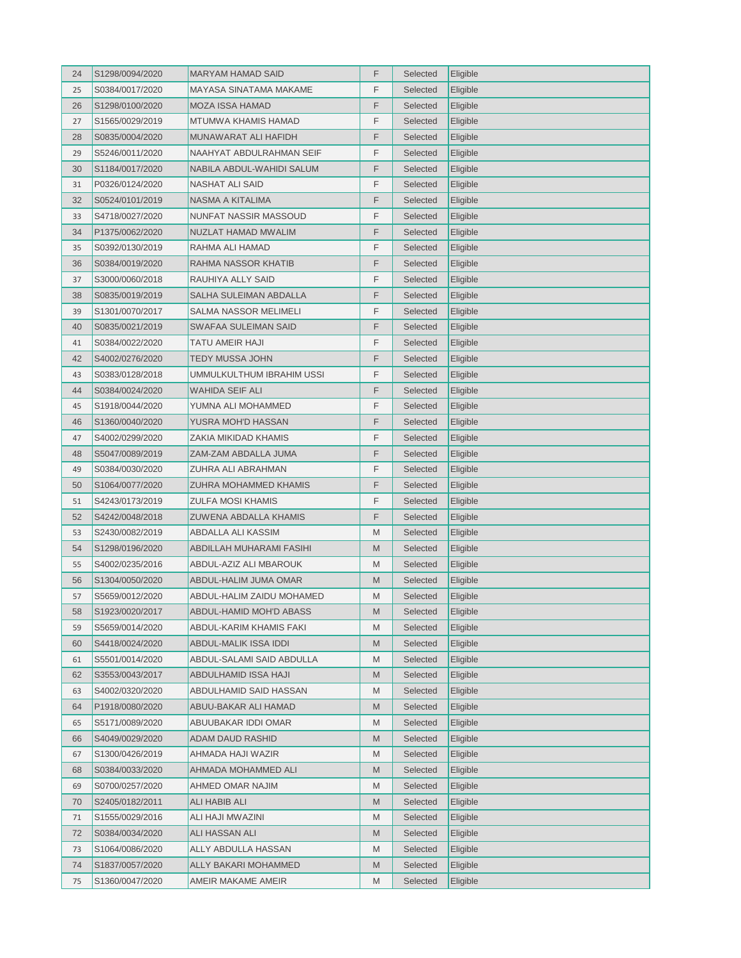| F<br>Selected<br>Eligible<br>25<br>S0384/0017/2020<br>MAYASA SINATAMA MAKAME<br>F<br>26<br><b>MOZA ISSA HAMAD</b><br>Selected<br>Eligible<br>S1298/0100/2020<br>F<br>27<br>S1565/0029/2019<br>MTUMWA KHAMIS HAMAD<br>Selected<br>Eligible<br>F<br>MUNAWARAT ALI HAFIDH<br>Eligible<br>28<br>S0835/0004/2020<br>Selected<br>F<br>29<br>S5246/0011/2020<br>NAAHYAT ABDULRAHMAN SEIF<br>Selected<br>Eligible<br>F<br>30<br>Selected<br>S1184/0017/2020<br>NABILA ABDUL-WAHIDI SALUM<br>Eligible<br>P0326/0124/2020<br>NASHAT ALI SAID<br>F<br>Selected<br>Eligible<br>31<br>F<br>32<br>S0524/0101/2019<br>NASMA A KITALIMA<br>Selected<br>Eligible<br>F<br>S4718/0027/2020<br>NUNFAT NASSIR MASSOUD<br>Eligible<br>33<br>Selected<br>F<br>34<br>NUZLAT HAMAD MWALIM<br>Selected<br>Eligible<br>P1375/0062/2020<br>F<br>35<br>S0392/0130/2019<br>RAHMA ALI HAMAD<br>Selected<br>Eligible<br>F<br>36<br>S0384/0019/2020<br>RAHMA NASSOR KHATIB<br>Selected<br>Eligible<br>F<br>S3000/0060/2018<br>RAUHIYA ALLY SAID<br>Selected<br>Eligible<br>37<br>38<br>SALHA SULEIMAN ABDALLA<br>F<br>Selected<br>S0835/0019/2019<br>Eligible<br>F<br>SALMA NASSOR MELIMELI<br>Eligible<br>39<br>S1301/0070/2017<br>Selected<br>F<br>40<br>Selected<br>S0835/0021/2019<br>SWAFAA SULEIMAN SAID<br>Eligible<br>F<br>Selected<br>41<br>S0384/0022/2020<br>TATU AMEIR HAJI<br>Eligible<br>42<br>S4002/0276/2020<br>TEDY MUSSA JOHN<br>F<br>Selected<br>Eligible<br>F<br>S0383/0128/2018<br>UMMULKULTHUM IBRAHIM USSI<br>43<br>Selected<br>Eligible<br>F<br>44<br>S0384/0024/2020<br>WAHIDA SEIF ALI<br>Selected<br>Eligible<br>F<br>YUMNA ALI MOHAMMED<br>Selected<br>45<br>S1918/0044/2020<br>Eligible<br>F<br>Selected<br>46<br>S1360/0040/2020<br>YUSRA MOH'D HASSAN<br>Eligible<br>F<br>Selected<br>47<br>S4002/0299/2020<br>ZAKIA MIKIDAD KHAMIS<br>Eligible<br>F<br>48<br>S5047/0089/2019<br>ZAM-ZAM ABDALLA JUMA<br>Selected<br>Eligible<br>49<br>ZUHRA ALI ABRAHMAN<br>F<br>Selected<br>S0384/0030/2020<br>Eligible<br>F<br>50<br>Eligible<br>S1064/0077/2020<br>ZUHRA MOHAMMED KHAMIS<br>Selected<br>F<br>S4243/0173/2019<br>ZULFA MOSI KHAMIS<br>Selected<br>Eligible<br>51<br>F<br>52<br>Selected<br>S4242/0048/2018<br>ZUWENA ABDALLA KHAMIS<br>Eligible<br>S2430/0082/2019<br>Selected<br>53<br>ABDALLA ALI KASSIM<br>M<br>Eligible<br>54<br>S1298/0196/2020<br>ABDILLAH MUHARAMI FASIHI<br>M<br>Selected<br>Eligible<br>M<br>55<br>S4002/0235/2016<br>ABDUL-AZIZ ALI MBAROUK<br>Selected<br>Eligible<br>M<br>Selected<br>56<br>S1304/0050/2020<br>ABDUL-HALIM JUMA OMAR<br>Eligible<br>Selected<br>57<br>S5659/0012/2020<br>ABDUL-HALIM ZAIDU MOHAMED<br>M<br>Eligible<br>S1923/0020/2017<br>ABDUL-HAMID MOH'D ABASS<br>Selected<br>Eligible<br>58<br>M<br>59<br>S5659/0014/2020<br>ABDUL-KARIM KHAMIS FAKI<br>M<br>Selected<br>Eligible<br>S4418/0024/2020<br>ABDUL-MALIK ISSA IDDI<br>Selected<br>Eligible<br>60<br>M<br>ABDUL-SALAMI SAID ABDULLA<br>M<br>Eligible<br>S5501/0014/2020<br>Selected<br>61<br>62<br>S3553/0043/2017<br>ABDULHAMID ISSA HAJI<br>M<br>Selected<br>Eligible<br>Selected<br>63<br>S4002/0320/2020<br>ABDULHAMID SAID HASSAN<br>M<br>Eligible<br>Selected<br>Eligible<br>64<br>P1918/0080/2020<br>ABUU-BAKAR ALI HAMAD<br>M<br>M<br>Selected<br>Eligible<br>S5171/0089/2020<br>ABUUBAKAR IDDI OMAR<br>65<br>66<br>M<br>S4049/0029/2020<br>ADAM DAUD RASHID<br>Selected<br>Eligible<br>AHMADA HAJI WAZIR<br>Selected<br>Eligible<br>S1300/0426/2019<br>M<br>67<br>M<br>Selected<br>68<br>S0384/0033/2020<br>AHMADA MOHAMMED ALI<br>Eligible<br>Selected<br>Eligible<br>69<br>S0700/0257/2020<br>AHMED OMAR NAJIM<br>M<br>70<br>S2405/0182/2011<br>ALI HABIB ALI<br>M<br>Selected<br>Eligible<br>ALI HAJI MWAZINI<br>71<br>S1555/0029/2016<br>M<br>Selected<br>Eligible<br>72<br>S0384/0034/2020<br>ALI HASSAN ALI<br>M<br>Selected<br>Eligible<br>ALLY ABDULLA HASSAN<br>M<br>Selected<br>Eligible<br>S1064/0086/2020<br>73<br>ALLY BAKARI MOHAMMED<br>Selected<br>Eligible<br>74<br>S1837/0057/2020<br>M | 24 | S1298/0094/2020 | <b>MARYAM HAMAD SAID</b> | F | Selected | Eligible |
|-------------------------------------------------------------------------------------------------------------------------------------------------------------------------------------------------------------------------------------------------------------------------------------------------------------------------------------------------------------------------------------------------------------------------------------------------------------------------------------------------------------------------------------------------------------------------------------------------------------------------------------------------------------------------------------------------------------------------------------------------------------------------------------------------------------------------------------------------------------------------------------------------------------------------------------------------------------------------------------------------------------------------------------------------------------------------------------------------------------------------------------------------------------------------------------------------------------------------------------------------------------------------------------------------------------------------------------------------------------------------------------------------------------------------------------------------------------------------------------------------------------------------------------------------------------------------------------------------------------------------------------------------------------------------------------------------------------------------------------------------------------------------------------------------------------------------------------------------------------------------------------------------------------------------------------------------------------------------------------------------------------------------------------------------------------------------------------------------------------------------------------------------------------------------------------------------------------------------------------------------------------------------------------------------------------------------------------------------------------------------------------------------------------------------------------------------------------------------------------------------------------------------------------------------------------------------------------------------------------------------------------------------------------------------------------------------------------------------------------------------------------------------------------------------------------------------------------------------------------------------------------------------------------------------------------------------------------------------------------------------------------------------------------------------------------------------------------------------------------------------------------------------------------------------------------------------------------------------------------------------------------------------------------------------------------------------------------------------------------------------------------------------------------------------------------------------------------------------------------------------------------------------------------------------------------------------------------------------------------------------------------------------------------------------------------------------------------------------------------------------------------------------------------------------------------------------------------------------------------------------------------------------------------------------------------------------------------------------------------------------------------------------------|----|-----------------|--------------------------|---|----------|----------|
|                                                                                                                                                                                                                                                                                                                                                                                                                                                                                                                                                                                                                                                                                                                                                                                                                                                                                                                                                                                                                                                                                                                                                                                                                                                                                                                                                                                                                                                                                                                                                                                                                                                                                                                                                                                                                                                                                                                                                                                                                                                                                                                                                                                                                                                                                                                                                                                                                                                                                                                                                                                                                                                                                                                                                                                                                                                                                                                                                                                                                                                                                                                                                                                                                                                                                                                                                                                                                                                                                                                                                                                                                                                                                                                                                                                                                                                                                                                                                                                                                               |    |                 |                          |   |          |          |
|                                                                                                                                                                                                                                                                                                                                                                                                                                                                                                                                                                                                                                                                                                                                                                                                                                                                                                                                                                                                                                                                                                                                                                                                                                                                                                                                                                                                                                                                                                                                                                                                                                                                                                                                                                                                                                                                                                                                                                                                                                                                                                                                                                                                                                                                                                                                                                                                                                                                                                                                                                                                                                                                                                                                                                                                                                                                                                                                                                                                                                                                                                                                                                                                                                                                                                                                                                                                                                                                                                                                                                                                                                                                                                                                                                                                                                                                                                                                                                                                                               |    |                 |                          |   |          |          |
|                                                                                                                                                                                                                                                                                                                                                                                                                                                                                                                                                                                                                                                                                                                                                                                                                                                                                                                                                                                                                                                                                                                                                                                                                                                                                                                                                                                                                                                                                                                                                                                                                                                                                                                                                                                                                                                                                                                                                                                                                                                                                                                                                                                                                                                                                                                                                                                                                                                                                                                                                                                                                                                                                                                                                                                                                                                                                                                                                                                                                                                                                                                                                                                                                                                                                                                                                                                                                                                                                                                                                                                                                                                                                                                                                                                                                                                                                                                                                                                                                               |    |                 |                          |   |          |          |
|                                                                                                                                                                                                                                                                                                                                                                                                                                                                                                                                                                                                                                                                                                                                                                                                                                                                                                                                                                                                                                                                                                                                                                                                                                                                                                                                                                                                                                                                                                                                                                                                                                                                                                                                                                                                                                                                                                                                                                                                                                                                                                                                                                                                                                                                                                                                                                                                                                                                                                                                                                                                                                                                                                                                                                                                                                                                                                                                                                                                                                                                                                                                                                                                                                                                                                                                                                                                                                                                                                                                                                                                                                                                                                                                                                                                                                                                                                                                                                                                                               |    |                 |                          |   |          |          |
|                                                                                                                                                                                                                                                                                                                                                                                                                                                                                                                                                                                                                                                                                                                                                                                                                                                                                                                                                                                                                                                                                                                                                                                                                                                                                                                                                                                                                                                                                                                                                                                                                                                                                                                                                                                                                                                                                                                                                                                                                                                                                                                                                                                                                                                                                                                                                                                                                                                                                                                                                                                                                                                                                                                                                                                                                                                                                                                                                                                                                                                                                                                                                                                                                                                                                                                                                                                                                                                                                                                                                                                                                                                                                                                                                                                                                                                                                                                                                                                                                               |    |                 |                          |   |          |          |
|                                                                                                                                                                                                                                                                                                                                                                                                                                                                                                                                                                                                                                                                                                                                                                                                                                                                                                                                                                                                                                                                                                                                                                                                                                                                                                                                                                                                                                                                                                                                                                                                                                                                                                                                                                                                                                                                                                                                                                                                                                                                                                                                                                                                                                                                                                                                                                                                                                                                                                                                                                                                                                                                                                                                                                                                                                                                                                                                                                                                                                                                                                                                                                                                                                                                                                                                                                                                                                                                                                                                                                                                                                                                                                                                                                                                                                                                                                                                                                                                                               |    |                 |                          |   |          |          |
|                                                                                                                                                                                                                                                                                                                                                                                                                                                                                                                                                                                                                                                                                                                                                                                                                                                                                                                                                                                                                                                                                                                                                                                                                                                                                                                                                                                                                                                                                                                                                                                                                                                                                                                                                                                                                                                                                                                                                                                                                                                                                                                                                                                                                                                                                                                                                                                                                                                                                                                                                                                                                                                                                                                                                                                                                                                                                                                                                                                                                                                                                                                                                                                                                                                                                                                                                                                                                                                                                                                                                                                                                                                                                                                                                                                                                                                                                                                                                                                                                               |    |                 |                          |   |          |          |
|                                                                                                                                                                                                                                                                                                                                                                                                                                                                                                                                                                                                                                                                                                                                                                                                                                                                                                                                                                                                                                                                                                                                                                                                                                                                                                                                                                                                                                                                                                                                                                                                                                                                                                                                                                                                                                                                                                                                                                                                                                                                                                                                                                                                                                                                                                                                                                                                                                                                                                                                                                                                                                                                                                                                                                                                                                                                                                                                                                                                                                                                                                                                                                                                                                                                                                                                                                                                                                                                                                                                                                                                                                                                                                                                                                                                                                                                                                                                                                                                                               |    |                 |                          |   |          |          |
|                                                                                                                                                                                                                                                                                                                                                                                                                                                                                                                                                                                                                                                                                                                                                                                                                                                                                                                                                                                                                                                                                                                                                                                                                                                                                                                                                                                                                                                                                                                                                                                                                                                                                                                                                                                                                                                                                                                                                                                                                                                                                                                                                                                                                                                                                                                                                                                                                                                                                                                                                                                                                                                                                                                                                                                                                                                                                                                                                                                                                                                                                                                                                                                                                                                                                                                                                                                                                                                                                                                                                                                                                                                                                                                                                                                                                                                                                                                                                                                                                               |    |                 |                          |   |          |          |
|                                                                                                                                                                                                                                                                                                                                                                                                                                                                                                                                                                                                                                                                                                                                                                                                                                                                                                                                                                                                                                                                                                                                                                                                                                                                                                                                                                                                                                                                                                                                                                                                                                                                                                                                                                                                                                                                                                                                                                                                                                                                                                                                                                                                                                                                                                                                                                                                                                                                                                                                                                                                                                                                                                                                                                                                                                                                                                                                                                                                                                                                                                                                                                                                                                                                                                                                                                                                                                                                                                                                                                                                                                                                                                                                                                                                                                                                                                                                                                                                                               |    |                 |                          |   |          |          |
|                                                                                                                                                                                                                                                                                                                                                                                                                                                                                                                                                                                                                                                                                                                                                                                                                                                                                                                                                                                                                                                                                                                                                                                                                                                                                                                                                                                                                                                                                                                                                                                                                                                                                                                                                                                                                                                                                                                                                                                                                                                                                                                                                                                                                                                                                                                                                                                                                                                                                                                                                                                                                                                                                                                                                                                                                                                                                                                                                                                                                                                                                                                                                                                                                                                                                                                                                                                                                                                                                                                                                                                                                                                                                                                                                                                                                                                                                                                                                                                                                               |    |                 |                          |   |          |          |
|                                                                                                                                                                                                                                                                                                                                                                                                                                                                                                                                                                                                                                                                                                                                                                                                                                                                                                                                                                                                                                                                                                                                                                                                                                                                                                                                                                                                                                                                                                                                                                                                                                                                                                                                                                                                                                                                                                                                                                                                                                                                                                                                                                                                                                                                                                                                                                                                                                                                                                                                                                                                                                                                                                                                                                                                                                                                                                                                                                                                                                                                                                                                                                                                                                                                                                                                                                                                                                                                                                                                                                                                                                                                                                                                                                                                                                                                                                                                                                                                                               |    |                 |                          |   |          |          |
|                                                                                                                                                                                                                                                                                                                                                                                                                                                                                                                                                                                                                                                                                                                                                                                                                                                                                                                                                                                                                                                                                                                                                                                                                                                                                                                                                                                                                                                                                                                                                                                                                                                                                                                                                                                                                                                                                                                                                                                                                                                                                                                                                                                                                                                                                                                                                                                                                                                                                                                                                                                                                                                                                                                                                                                                                                                                                                                                                                                                                                                                                                                                                                                                                                                                                                                                                                                                                                                                                                                                                                                                                                                                                                                                                                                                                                                                                                                                                                                                                               |    |                 |                          |   |          |          |
|                                                                                                                                                                                                                                                                                                                                                                                                                                                                                                                                                                                                                                                                                                                                                                                                                                                                                                                                                                                                                                                                                                                                                                                                                                                                                                                                                                                                                                                                                                                                                                                                                                                                                                                                                                                                                                                                                                                                                                                                                                                                                                                                                                                                                                                                                                                                                                                                                                                                                                                                                                                                                                                                                                                                                                                                                                                                                                                                                                                                                                                                                                                                                                                                                                                                                                                                                                                                                                                                                                                                                                                                                                                                                                                                                                                                                                                                                                                                                                                                                               |    |                 |                          |   |          |          |
|                                                                                                                                                                                                                                                                                                                                                                                                                                                                                                                                                                                                                                                                                                                                                                                                                                                                                                                                                                                                                                                                                                                                                                                                                                                                                                                                                                                                                                                                                                                                                                                                                                                                                                                                                                                                                                                                                                                                                                                                                                                                                                                                                                                                                                                                                                                                                                                                                                                                                                                                                                                                                                                                                                                                                                                                                                                                                                                                                                                                                                                                                                                                                                                                                                                                                                                                                                                                                                                                                                                                                                                                                                                                                                                                                                                                                                                                                                                                                                                                                               |    |                 |                          |   |          |          |
|                                                                                                                                                                                                                                                                                                                                                                                                                                                                                                                                                                                                                                                                                                                                                                                                                                                                                                                                                                                                                                                                                                                                                                                                                                                                                                                                                                                                                                                                                                                                                                                                                                                                                                                                                                                                                                                                                                                                                                                                                                                                                                                                                                                                                                                                                                                                                                                                                                                                                                                                                                                                                                                                                                                                                                                                                                                                                                                                                                                                                                                                                                                                                                                                                                                                                                                                                                                                                                                                                                                                                                                                                                                                                                                                                                                                                                                                                                                                                                                                                               |    |                 |                          |   |          |          |
|                                                                                                                                                                                                                                                                                                                                                                                                                                                                                                                                                                                                                                                                                                                                                                                                                                                                                                                                                                                                                                                                                                                                                                                                                                                                                                                                                                                                                                                                                                                                                                                                                                                                                                                                                                                                                                                                                                                                                                                                                                                                                                                                                                                                                                                                                                                                                                                                                                                                                                                                                                                                                                                                                                                                                                                                                                                                                                                                                                                                                                                                                                                                                                                                                                                                                                                                                                                                                                                                                                                                                                                                                                                                                                                                                                                                                                                                                                                                                                                                                               |    |                 |                          |   |          |          |
|                                                                                                                                                                                                                                                                                                                                                                                                                                                                                                                                                                                                                                                                                                                                                                                                                                                                                                                                                                                                                                                                                                                                                                                                                                                                                                                                                                                                                                                                                                                                                                                                                                                                                                                                                                                                                                                                                                                                                                                                                                                                                                                                                                                                                                                                                                                                                                                                                                                                                                                                                                                                                                                                                                                                                                                                                                                                                                                                                                                                                                                                                                                                                                                                                                                                                                                                                                                                                                                                                                                                                                                                                                                                                                                                                                                                                                                                                                                                                                                                                               |    |                 |                          |   |          |          |
|                                                                                                                                                                                                                                                                                                                                                                                                                                                                                                                                                                                                                                                                                                                                                                                                                                                                                                                                                                                                                                                                                                                                                                                                                                                                                                                                                                                                                                                                                                                                                                                                                                                                                                                                                                                                                                                                                                                                                                                                                                                                                                                                                                                                                                                                                                                                                                                                                                                                                                                                                                                                                                                                                                                                                                                                                                                                                                                                                                                                                                                                                                                                                                                                                                                                                                                                                                                                                                                                                                                                                                                                                                                                                                                                                                                                                                                                                                                                                                                                                               |    |                 |                          |   |          |          |
|                                                                                                                                                                                                                                                                                                                                                                                                                                                                                                                                                                                                                                                                                                                                                                                                                                                                                                                                                                                                                                                                                                                                                                                                                                                                                                                                                                                                                                                                                                                                                                                                                                                                                                                                                                                                                                                                                                                                                                                                                                                                                                                                                                                                                                                                                                                                                                                                                                                                                                                                                                                                                                                                                                                                                                                                                                                                                                                                                                                                                                                                                                                                                                                                                                                                                                                                                                                                                                                                                                                                                                                                                                                                                                                                                                                                                                                                                                                                                                                                                               |    |                 |                          |   |          |          |
|                                                                                                                                                                                                                                                                                                                                                                                                                                                                                                                                                                                                                                                                                                                                                                                                                                                                                                                                                                                                                                                                                                                                                                                                                                                                                                                                                                                                                                                                                                                                                                                                                                                                                                                                                                                                                                                                                                                                                                                                                                                                                                                                                                                                                                                                                                                                                                                                                                                                                                                                                                                                                                                                                                                                                                                                                                                                                                                                                                                                                                                                                                                                                                                                                                                                                                                                                                                                                                                                                                                                                                                                                                                                                                                                                                                                                                                                                                                                                                                                                               |    |                 |                          |   |          |          |
|                                                                                                                                                                                                                                                                                                                                                                                                                                                                                                                                                                                                                                                                                                                                                                                                                                                                                                                                                                                                                                                                                                                                                                                                                                                                                                                                                                                                                                                                                                                                                                                                                                                                                                                                                                                                                                                                                                                                                                                                                                                                                                                                                                                                                                                                                                                                                                                                                                                                                                                                                                                                                                                                                                                                                                                                                                                                                                                                                                                                                                                                                                                                                                                                                                                                                                                                                                                                                                                                                                                                                                                                                                                                                                                                                                                                                                                                                                                                                                                                                               |    |                 |                          |   |          |          |
|                                                                                                                                                                                                                                                                                                                                                                                                                                                                                                                                                                                                                                                                                                                                                                                                                                                                                                                                                                                                                                                                                                                                                                                                                                                                                                                                                                                                                                                                                                                                                                                                                                                                                                                                                                                                                                                                                                                                                                                                                                                                                                                                                                                                                                                                                                                                                                                                                                                                                                                                                                                                                                                                                                                                                                                                                                                                                                                                                                                                                                                                                                                                                                                                                                                                                                                                                                                                                                                                                                                                                                                                                                                                                                                                                                                                                                                                                                                                                                                                                               |    |                 |                          |   |          |          |
|                                                                                                                                                                                                                                                                                                                                                                                                                                                                                                                                                                                                                                                                                                                                                                                                                                                                                                                                                                                                                                                                                                                                                                                                                                                                                                                                                                                                                                                                                                                                                                                                                                                                                                                                                                                                                                                                                                                                                                                                                                                                                                                                                                                                                                                                                                                                                                                                                                                                                                                                                                                                                                                                                                                                                                                                                                                                                                                                                                                                                                                                                                                                                                                                                                                                                                                                                                                                                                                                                                                                                                                                                                                                                                                                                                                                                                                                                                                                                                                                                               |    |                 |                          |   |          |          |
|                                                                                                                                                                                                                                                                                                                                                                                                                                                                                                                                                                                                                                                                                                                                                                                                                                                                                                                                                                                                                                                                                                                                                                                                                                                                                                                                                                                                                                                                                                                                                                                                                                                                                                                                                                                                                                                                                                                                                                                                                                                                                                                                                                                                                                                                                                                                                                                                                                                                                                                                                                                                                                                                                                                                                                                                                                                                                                                                                                                                                                                                                                                                                                                                                                                                                                                                                                                                                                                                                                                                                                                                                                                                                                                                                                                                                                                                                                                                                                                                                               |    |                 |                          |   |          |          |
|                                                                                                                                                                                                                                                                                                                                                                                                                                                                                                                                                                                                                                                                                                                                                                                                                                                                                                                                                                                                                                                                                                                                                                                                                                                                                                                                                                                                                                                                                                                                                                                                                                                                                                                                                                                                                                                                                                                                                                                                                                                                                                                                                                                                                                                                                                                                                                                                                                                                                                                                                                                                                                                                                                                                                                                                                                                                                                                                                                                                                                                                                                                                                                                                                                                                                                                                                                                                                                                                                                                                                                                                                                                                                                                                                                                                                                                                                                                                                                                                                               |    |                 |                          |   |          |          |
|                                                                                                                                                                                                                                                                                                                                                                                                                                                                                                                                                                                                                                                                                                                                                                                                                                                                                                                                                                                                                                                                                                                                                                                                                                                                                                                                                                                                                                                                                                                                                                                                                                                                                                                                                                                                                                                                                                                                                                                                                                                                                                                                                                                                                                                                                                                                                                                                                                                                                                                                                                                                                                                                                                                                                                                                                                                                                                                                                                                                                                                                                                                                                                                                                                                                                                                                                                                                                                                                                                                                                                                                                                                                                                                                                                                                                                                                                                                                                                                                                               |    |                 |                          |   |          |          |
|                                                                                                                                                                                                                                                                                                                                                                                                                                                                                                                                                                                                                                                                                                                                                                                                                                                                                                                                                                                                                                                                                                                                                                                                                                                                                                                                                                                                                                                                                                                                                                                                                                                                                                                                                                                                                                                                                                                                                                                                                                                                                                                                                                                                                                                                                                                                                                                                                                                                                                                                                                                                                                                                                                                                                                                                                                                                                                                                                                                                                                                                                                                                                                                                                                                                                                                                                                                                                                                                                                                                                                                                                                                                                                                                                                                                                                                                                                                                                                                                                               |    |                 |                          |   |          |          |
|                                                                                                                                                                                                                                                                                                                                                                                                                                                                                                                                                                                                                                                                                                                                                                                                                                                                                                                                                                                                                                                                                                                                                                                                                                                                                                                                                                                                                                                                                                                                                                                                                                                                                                                                                                                                                                                                                                                                                                                                                                                                                                                                                                                                                                                                                                                                                                                                                                                                                                                                                                                                                                                                                                                                                                                                                                                                                                                                                                                                                                                                                                                                                                                                                                                                                                                                                                                                                                                                                                                                                                                                                                                                                                                                                                                                                                                                                                                                                                                                                               |    |                 |                          |   |          |          |
|                                                                                                                                                                                                                                                                                                                                                                                                                                                                                                                                                                                                                                                                                                                                                                                                                                                                                                                                                                                                                                                                                                                                                                                                                                                                                                                                                                                                                                                                                                                                                                                                                                                                                                                                                                                                                                                                                                                                                                                                                                                                                                                                                                                                                                                                                                                                                                                                                                                                                                                                                                                                                                                                                                                                                                                                                                                                                                                                                                                                                                                                                                                                                                                                                                                                                                                                                                                                                                                                                                                                                                                                                                                                                                                                                                                                                                                                                                                                                                                                                               |    |                 |                          |   |          |          |
|                                                                                                                                                                                                                                                                                                                                                                                                                                                                                                                                                                                                                                                                                                                                                                                                                                                                                                                                                                                                                                                                                                                                                                                                                                                                                                                                                                                                                                                                                                                                                                                                                                                                                                                                                                                                                                                                                                                                                                                                                                                                                                                                                                                                                                                                                                                                                                                                                                                                                                                                                                                                                                                                                                                                                                                                                                                                                                                                                                                                                                                                                                                                                                                                                                                                                                                                                                                                                                                                                                                                                                                                                                                                                                                                                                                                                                                                                                                                                                                                                               |    |                 |                          |   |          |          |
|                                                                                                                                                                                                                                                                                                                                                                                                                                                                                                                                                                                                                                                                                                                                                                                                                                                                                                                                                                                                                                                                                                                                                                                                                                                                                                                                                                                                                                                                                                                                                                                                                                                                                                                                                                                                                                                                                                                                                                                                                                                                                                                                                                                                                                                                                                                                                                                                                                                                                                                                                                                                                                                                                                                                                                                                                                                                                                                                                                                                                                                                                                                                                                                                                                                                                                                                                                                                                                                                                                                                                                                                                                                                                                                                                                                                                                                                                                                                                                                                                               |    |                 |                          |   |          |          |
|                                                                                                                                                                                                                                                                                                                                                                                                                                                                                                                                                                                                                                                                                                                                                                                                                                                                                                                                                                                                                                                                                                                                                                                                                                                                                                                                                                                                                                                                                                                                                                                                                                                                                                                                                                                                                                                                                                                                                                                                                                                                                                                                                                                                                                                                                                                                                                                                                                                                                                                                                                                                                                                                                                                                                                                                                                                                                                                                                                                                                                                                                                                                                                                                                                                                                                                                                                                                                                                                                                                                                                                                                                                                                                                                                                                                                                                                                                                                                                                                                               |    |                 |                          |   |          |          |
|                                                                                                                                                                                                                                                                                                                                                                                                                                                                                                                                                                                                                                                                                                                                                                                                                                                                                                                                                                                                                                                                                                                                                                                                                                                                                                                                                                                                                                                                                                                                                                                                                                                                                                                                                                                                                                                                                                                                                                                                                                                                                                                                                                                                                                                                                                                                                                                                                                                                                                                                                                                                                                                                                                                                                                                                                                                                                                                                                                                                                                                                                                                                                                                                                                                                                                                                                                                                                                                                                                                                                                                                                                                                                                                                                                                                                                                                                                                                                                                                                               |    |                 |                          |   |          |          |
|                                                                                                                                                                                                                                                                                                                                                                                                                                                                                                                                                                                                                                                                                                                                                                                                                                                                                                                                                                                                                                                                                                                                                                                                                                                                                                                                                                                                                                                                                                                                                                                                                                                                                                                                                                                                                                                                                                                                                                                                                                                                                                                                                                                                                                                                                                                                                                                                                                                                                                                                                                                                                                                                                                                                                                                                                                                                                                                                                                                                                                                                                                                                                                                                                                                                                                                                                                                                                                                                                                                                                                                                                                                                                                                                                                                                                                                                                                                                                                                                                               |    |                 |                          |   |          |          |
|                                                                                                                                                                                                                                                                                                                                                                                                                                                                                                                                                                                                                                                                                                                                                                                                                                                                                                                                                                                                                                                                                                                                                                                                                                                                                                                                                                                                                                                                                                                                                                                                                                                                                                                                                                                                                                                                                                                                                                                                                                                                                                                                                                                                                                                                                                                                                                                                                                                                                                                                                                                                                                                                                                                                                                                                                                                                                                                                                                                                                                                                                                                                                                                                                                                                                                                                                                                                                                                                                                                                                                                                                                                                                                                                                                                                                                                                                                                                                                                                                               |    |                 |                          |   |          |          |
|                                                                                                                                                                                                                                                                                                                                                                                                                                                                                                                                                                                                                                                                                                                                                                                                                                                                                                                                                                                                                                                                                                                                                                                                                                                                                                                                                                                                                                                                                                                                                                                                                                                                                                                                                                                                                                                                                                                                                                                                                                                                                                                                                                                                                                                                                                                                                                                                                                                                                                                                                                                                                                                                                                                                                                                                                                                                                                                                                                                                                                                                                                                                                                                                                                                                                                                                                                                                                                                                                                                                                                                                                                                                                                                                                                                                                                                                                                                                                                                                                               |    |                 |                          |   |          |          |
|                                                                                                                                                                                                                                                                                                                                                                                                                                                                                                                                                                                                                                                                                                                                                                                                                                                                                                                                                                                                                                                                                                                                                                                                                                                                                                                                                                                                                                                                                                                                                                                                                                                                                                                                                                                                                                                                                                                                                                                                                                                                                                                                                                                                                                                                                                                                                                                                                                                                                                                                                                                                                                                                                                                                                                                                                                                                                                                                                                                                                                                                                                                                                                                                                                                                                                                                                                                                                                                                                                                                                                                                                                                                                                                                                                                                                                                                                                                                                                                                                               |    |                 |                          |   |          |          |
|                                                                                                                                                                                                                                                                                                                                                                                                                                                                                                                                                                                                                                                                                                                                                                                                                                                                                                                                                                                                                                                                                                                                                                                                                                                                                                                                                                                                                                                                                                                                                                                                                                                                                                                                                                                                                                                                                                                                                                                                                                                                                                                                                                                                                                                                                                                                                                                                                                                                                                                                                                                                                                                                                                                                                                                                                                                                                                                                                                                                                                                                                                                                                                                                                                                                                                                                                                                                                                                                                                                                                                                                                                                                                                                                                                                                                                                                                                                                                                                                                               |    |                 |                          |   |          |          |
|                                                                                                                                                                                                                                                                                                                                                                                                                                                                                                                                                                                                                                                                                                                                                                                                                                                                                                                                                                                                                                                                                                                                                                                                                                                                                                                                                                                                                                                                                                                                                                                                                                                                                                                                                                                                                                                                                                                                                                                                                                                                                                                                                                                                                                                                                                                                                                                                                                                                                                                                                                                                                                                                                                                                                                                                                                                                                                                                                                                                                                                                                                                                                                                                                                                                                                                                                                                                                                                                                                                                                                                                                                                                                                                                                                                                                                                                                                                                                                                                                               |    |                 |                          |   |          |          |
|                                                                                                                                                                                                                                                                                                                                                                                                                                                                                                                                                                                                                                                                                                                                                                                                                                                                                                                                                                                                                                                                                                                                                                                                                                                                                                                                                                                                                                                                                                                                                                                                                                                                                                                                                                                                                                                                                                                                                                                                                                                                                                                                                                                                                                                                                                                                                                                                                                                                                                                                                                                                                                                                                                                                                                                                                                                                                                                                                                                                                                                                                                                                                                                                                                                                                                                                                                                                                                                                                                                                                                                                                                                                                                                                                                                                                                                                                                                                                                                                                               |    |                 |                          |   |          |          |
|                                                                                                                                                                                                                                                                                                                                                                                                                                                                                                                                                                                                                                                                                                                                                                                                                                                                                                                                                                                                                                                                                                                                                                                                                                                                                                                                                                                                                                                                                                                                                                                                                                                                                                                                                                                                                                                                                                                                                                                                                                                                                                                                                                                                                                                                                                                                                                                                                                                                                                                                                                                                                                                                                                                                                                                                                                                                                                                                                                                                                                                                                                                                                                                                                                                                                                                                                                                                                                                                                                                                                                                                                                                                                                                                                                                                                                                                                                                                                                                                                               |    |                 |                          |   |          |          |
|                                                                                                                                                                                                                                                                                                                                                                                                                                                                                                                                                                                                                                                                                                                                                                                                                                                                                                                                                                                                                                                                                                                                                                                                                                                                                                                                                                                                                                                                                                                                                                                                                                                                                                                                                                                                                                                                                                                                                                                                                                                                                                                                                                                                                                                                                                                                                                                                                                                                                                                                                                                                                                                                                                                                                                                                                                                                                                                                                                                                                                                                                                                                                                                                                                                                                                                                                                                                                                                                                                                                                                                                                                                                                                                                                                                                                                                                                                                                                                                                                               |    |                 |                          |   |          |          |
|                                                                                                                                                                                                                                                                                                                                                                                                                                                                                                                                                                                                                                                                                                                                                                                                                                                                                                                                                                                                                                                                                                                                                                                                                                                                                                                                                                                                                                                                                                                                                                                                                                                                                                                                                                                                                                                                                                                                                                                                                                                                                                                                                                                                                                                                                                                                                                                                                                                                                                                                                                                                                                                                                                                                                                                                                                                                                                                                                                                                                                                                                                                                                                                                                                                                                                                                                                                                                                                                                                                                                                                                                                                                                                                                                                                                                                                                                                                                                                                                                               |    |                 |                          |   |          |          |
|                                                                                                                                                                                                                                                                                                                                                                                                                                                                                                                                                                                                                                                                                                                                                                                                                                                                                                                                                                                                                                                                                                                                                                                                                                                                                                                                                                                                                                                                                                                                                                                                                                                                                                                                                                                                                                                                                                                                                                                                                                                                                                                                                                                                                                                                                                                                                                                                                                                                                                                                                                                                                                                                                                                                                                                                                                                                                                                                                                                                                                                                                                                                                                                                                                                                                                                                                                                                                                                                                                                                                                                                                                                                                                                                                                                                                                                                                                                                                                                                                               |    |                 |                          |   |          |          |
|                                                                                                                                                                                                                                                                                                                                                                                                                                                                                                                                                                                                                                                                                                                                                                                                                                                                                                                                                                                                                                                                                                                                                                                                                                                                                                                                                                                                                                                                                                                                                                                                                                                                                                                                                                                                                                                                                                                                                                                                                                                                                                                                                                                                                                                                                                                                                                                                                                                                                                                                                                                                                                                                                                                                                                                                                                                                                                                                                                                                                                                                                                                                                                                                                                                                                                                                                                                                                                                                                                                                                                                                                                                                                                                                                                                                                                                                                                                                                                                                                               |    |                 |                          |   |          |          |
|                                                                                                                                                                                                                                                                                                                                                                                                                                                                                                                                                                                                                                                                                                                                                                                                                                                                                                                                                                                                                                                                                                                                                                                                                                                                                                                                                                                                                                                                                                                                                                                                                                                                                                                                                                                                                                                                                                                                                                                                                                                                                                                                                                                                                                                                                                                                                                                                                                                                                                                                                                                                                                                                                                                                                                                                                                                                                                                                                                                                                                                                                                                                                                                                                                                                                                                                                                                                                                                                                                                                                                                                                                                                                                                                                                                                                                                                                                                                                                                                                               |    |                 |                          |   |          |          |
|                                                                                                                                                                                                                                                                                                                                                                                                                                                                                                                                                                                                                                                                                                                                                                                                                                                                                                                                                                                                                                                                                                                                                                                                                                                                                                                                                                                                                                                                                                                                                                                                                                                                                                                                                                                                                                                                                                                                                                                                                                                                                                                                                                                                                                                                                                                                                                                                                                                                                                                                                                                                                                                                                                                                                                                                                                                                                                                                                                                                                                                                                                                                                                                                                                                                                                                                                                                                                                                                                                                                                                                                                                                                                                                                                                                                                                                                                                                                                                                                                               |    |                 |                          |   |          |          |
|                                                                                                                                                                                                                                                                                                                                                                                                                                                                                                                                                                                                                                                                                                                                                                                                                                                                                                                                                                                                                                                                                                                                                                                                                                                                                                                                                                                                                                                                                                                                                                                                                                                                                                                                                                                                                                                                                                                                                                                                                                                                                                                                                                                                                                                                                                                                                                                                                                                                                                                                                                                                                                                                                                                                                                                                                                                                                                                                                                                                                                                                                                                                                                                                                                                                                                                                                                                                                                                                                                                                                                                                                                                                                                                                                                                                                                                                                                                                                                                                                               |    |                 |                          |   |          |          |
|                                                                                                                                                                                                                                                                                                                                                                                                                                                                                                                                                                                                                                                                                                                                                                                                                                                                                                                                                                                                                                                                                                                                                                                                                                                                                                                                                                                                                                                                                                                                                                                                                                                                                                                                                                                                                                                                                                                                                                                                                                                                                                                                                                                                                                                                                                                                                                                                                                                                                                                                                                                                                                                                                                                                                                                                                                                                                                                                                                                                                                                                                                                                                                                                                                                                                                                                                                                                                                                                                                                                                                                                                                                                                                                                                                                                                                                                                                                                                                                                                               |    |                 |                          |   |          |          |
|                                                                                                                                                                                                                                                                                                                                                                                                                                                                                                                                                                                                                                                                                                                                                                                                                                                                                                                                                                                                                                                                                                                                                                                                                                                                                                                                                                                                                                                                                                                                                                                                                                                                                                                                                                                                                                                                                                                                                                                                                                                                                                                                                                                                                                                                                                                                                                                                                                                                                                                                                                                                                                                                                                                                                                                                                                                                                                                                                                                                                                                                                                                                                                                                                                                                                                                                                                                                                                                                                                                                                                                                                                                                                                                                                                                                                                                                                                                                                                                                                               | 75 | S1360/0047/2020 | AMEIR MAKAME AMEIR       | M | Selected | Eligible |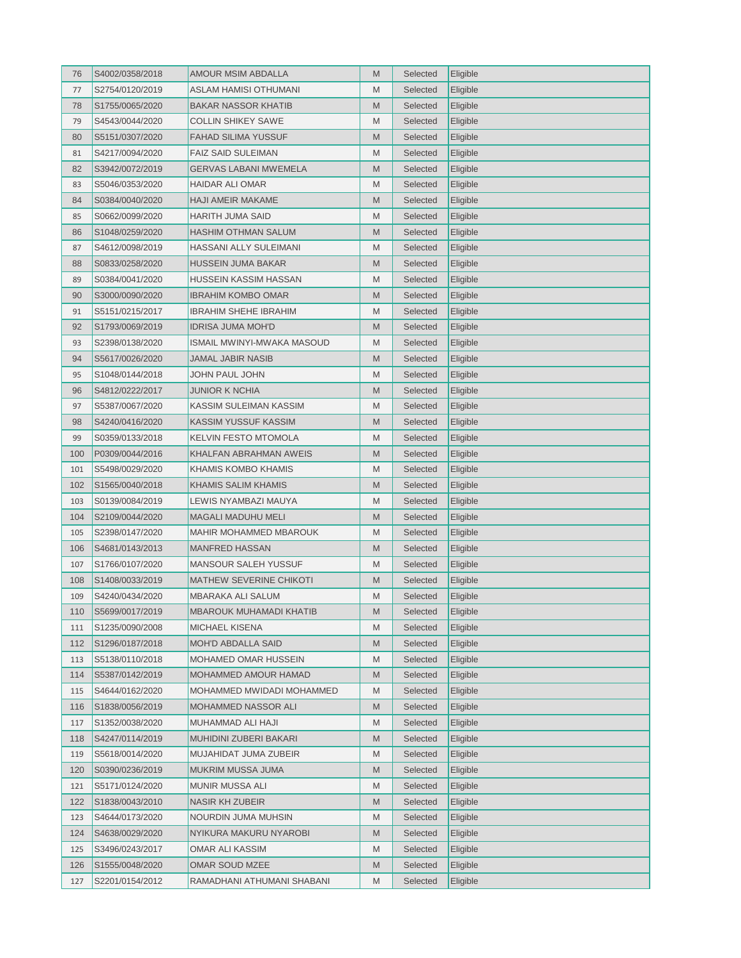| 76  | S4002/0358/2018 | AMOUR MSIM ABDALLA             | M | Selected | Eligible |
|-----|-----------------|--------------------------------|---|----------|----------|
| 77  | S2754/0120/2019 | ASLAM HAMISI OTHUMANI          | M | Selected | Eligible |
| 78  | S1755/0065/2020 | BAKAR NASSOR KHATIB            | M | Selected | Eligible |
| 79  | S4543/0044/2020 | COLLIN SHIKEY SAWE             | M | Selected | Eligible |
| 80  | S5151/0307/2020 | FAHAD SILIMA YUSSUF            | M | Selected | Eligible |
| 81  | S4217/0094/2020 | <b>FAIZ SAID SULEIMAN</b>      | M | Selected | Eligible |
| 82  | S3942/0072/2019 | GERVAS LABANI MWEMELA          | M | Selected | Eligible |
| 83  | S5046/0353/2020 | HAIDAR ALI OMAR                | M | Selected | Eligible |
| 84  | S0384/0040/2020 | HAJI AMEIR MAKAME              | M | Selected | Eligible |
| 85  | S0662/0099/2020 | HARITH JUMA SAID               | M | Selected | Eligible |
| 86  | S1048/0259/2020 | HASHIM OTHMAN SALUM            | M | Selected | Eligible |
| 87  | S4612/0098/2019 | HASSANI ALLY SULEIMANI         | M | Selected | Eligible |
| 88  | S0833/0258/2020 | HUSSEIN JUMA BAKAR             | M | Selected | Eligible |
| 89  | S0384/0041/2020 | HUSSEIN KASSIM HASSAN          | M | Selected | Eligible |
| 90  | S3000/0090/2020 | IBRAHIM KOMBO OMAR             | M | Selected | Eligible |
| 91  | S5151/0215/2017 | <b>IBRAHIM SHEHE IBRAHIM</b>   | M | Selected | Eligible |
| 92  | S1793/0069/2019 | IDRISA JUMA MOH'D              | M | Selected | Eligible |
| 93  | S2398/0138/2020 | ISMAIL MWINYI-MWAKA MASOUD     | M | Selected | Eligible |
| 94  | S5617/0026/2020 | JAMAL JABIR NASIB              | M | Selected | Eligible |
| 95  | S1048/0144/2018 | JOHN PAUL JOHN                 | M | Selected | Eligible |
| 96  | S4812/0222/2017 | JUNIOR K NCHIA                 | M | Selected | Eligible |
| 97  | S5387/0067/2020 | KASSIM SULEIMAN KASSIM         | M | Selected | Eligible |
| 98  | S4240/0416/2020 | KASSIM YUSSUF KASSIM           | M | Selected | Eligible |
| 99  | S0359/0133/2018 | KELVIN FESTO MTOMOLA           | M | Selected | Eligible |
| 100 | P0309/0044/2016 | KHALFAN ABRAHMAN AWEIS         | M | Selected | Eligible |
| 101 | S5498/0029/2020 | KHAMIS KOMBO KHAMIS            | M | Selected | Eligible |
| 102 | S1565/0040/2018 | KHAMIS SALIM KHAMIS            | M | Selected | Eligible |
| 103 | S0139/0084/2019 | LEWIS NYAMBAZI MAUYA           | M | Selected | Eligible |
| 104 | S2109/0044/2020 | MAGALI MADUHU MELI             | M | Selected | Eligible |
| 105 | S2398/0147/2020 | MAHIR MOHAMMED MBAROUK         | M | Selected | Eligible |
| 106 | S4681/0143/2013 | <b>MANFRED HASSAN</b>          | M | Selected | Eligible |
| 107 | S1766/0107/2020 | MANSOUR SALEH YUSSUF           | M | Selected | Eligible |
| 108 | S1408/0033/2019 | MATHEW SEVERINE CHIKOTI        | M | Selected | Eligible |
| 109 | S4240/0434/2020 | MBARAKA ALI SALUM              | M | Selected | Eligible |
| 110 | S5699/0017/2019 | <b>MBAROUK MUHAMADI KHATIB</b> | M | Selected | Eligible |
| 111 | S1235/0090/2008 | MICHAEL KISENA                 | M | Selected | Eligible |
| 112 | S1296/0187/2018 | MOH'D ABDALLA SAID             | M | Selected | Eligible |
| 113 | S5138/0110/2018 | <b>MOHAMED OMAR HUSSEIN</b>    | M | Selected | Eligible |
| 114 | S5387/0142/2019 | MOHAMMED AMOUR HAMAD           | M | Selected | Eligible |
| 115 | S4644/0162/2020 | MOHAMMED MWIDADI MOHAMMED      | M | Selected | Eligible |
| 116 | S1838/0056/2019 | MOHAMMED NASSOR ALI            | M | Selected | Eligible |
| 117 | S1352/0038/2020 | MUHAMMAD ALI HAJI              | M | Selected | Eligible |
| 118 | S4247/0114/2019 | MUHIDINI ZUBERI BAKARI         | M | Selected | Eligible |
| 119 | S5618/0014/2020 | MUJAHIDAT JUMA ZUBEIR          | M | Selected | Eligible |
| 120 | S0390/0236/2019 | MUKRIM MUSSA JUMA              | M | Selected | Eligible |
| 121 | S5171/0124/2020 | MUNIR MUSSA ALI                | M | Selected | Eligible |
| 122 | S1838/0043/2010 | NASIR KH ZUBEIR                | M | Selected | Eligible |
| 123 | S4644/0173/2020 | NOURDIN JUMA MUHSIN            | M | Selected | Eligible |
| 124 | S4638/0029/2020 | NYIKURA MAKURU NYAROBI         | M | Selected | Eligible |
| 125 | S3496/0243/2017 | OMAR ALI KASSIM                | M | Selected | Eligible |
| 126 | S1555/0048/2020 | OMAR SOUD MZEE                 | M | Selected | Eligible |
| 127 | S2201/0154/2012 | RAMADHANI ATHUMANI SHABANI     | M | Selected | Eligible |